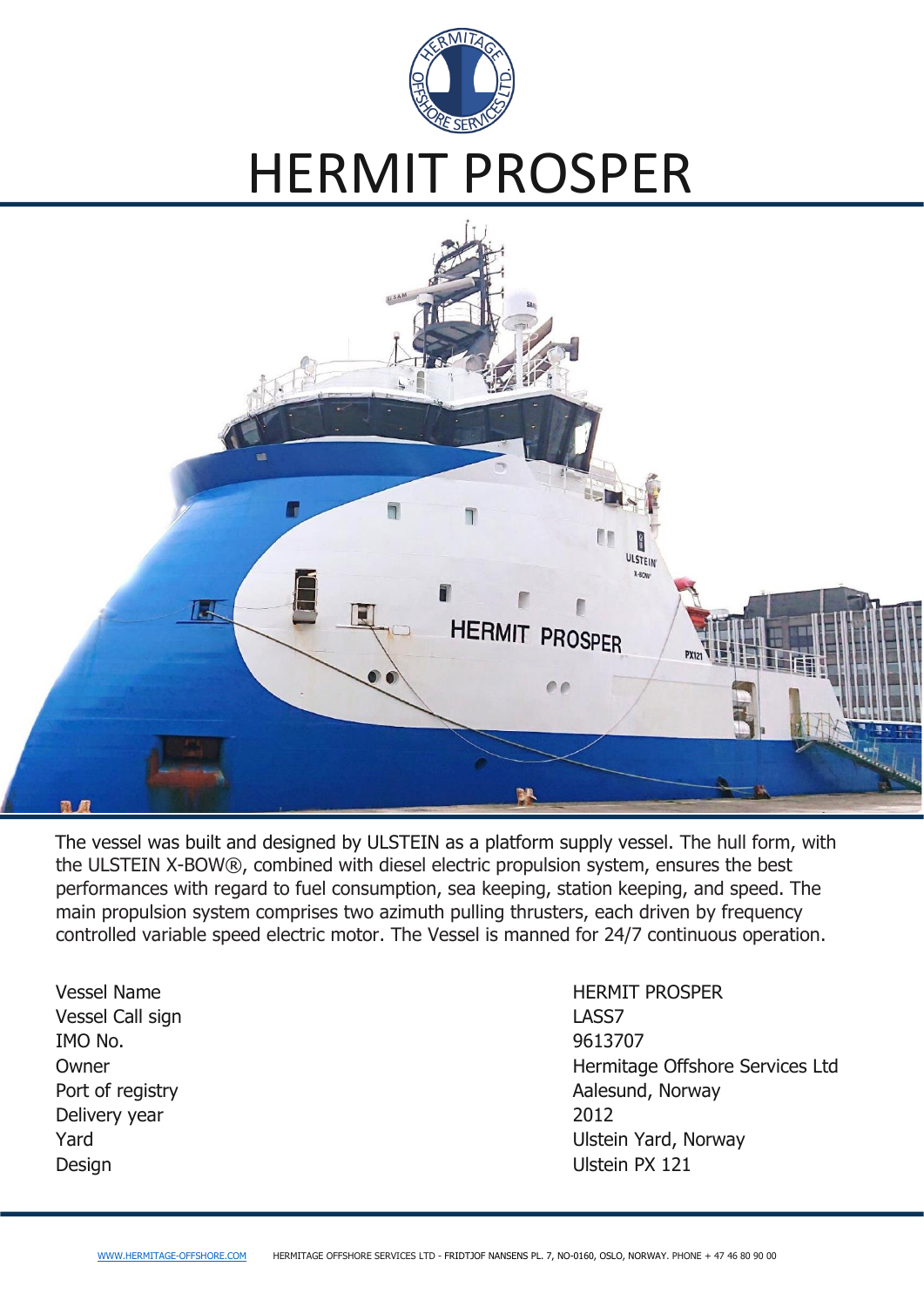

# HERMIT PROSPER



The vessel was built and designed by ULSTEIN as a platform supply vessel. The hull form, with the ULSTEIN X-BOW®, combined with diesel electric propulsion system, ensures the best performances with regard to fuel consumption, sea keeping, station keeping, and speed. The main propulsion system comprises two azimuth pulling thrusters, each driven by frequency controlled variable speed electric motor. The Vessel is manned for 24/7 continuous operation.

Vessel Call sign and the contract of the LASS7 IMO No. 9613707 Delivery year 2012 Design Ulstein PX 121

Vessel Name **HERMIT PROSPER** Owner **Network** Community Community Community Community Community Community Community Community Community Community Community Community Community Community Community Community Community Community Community Community Commun Port of registry **Aalesund, Norway Aalesund, Norway** Yard **Yard** Variance Controller Controller Controller Controller Ulstein Yard, Norway